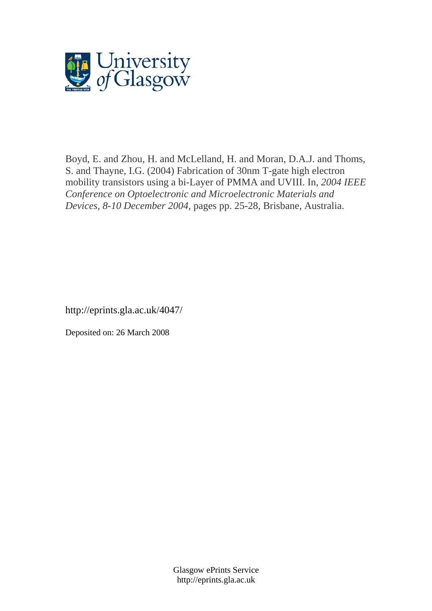

Boyd, E. and Zhou, H. and McLelland, H. and Moran, D.A.J. and Thoms, S. and Thayne, I.G. (2004) Fabrication of 30nm T-gate high electron mobility transistors using a bi-Layer of PMMA and UVIII. In, *2004 IEEE Conference on Optoelectronic and Microelectronic Materials and Devices, 8-10 December 2004*, pages pp. 25-28, Brisbane, Australia.

http://eprints.gla.ac.uk/4047/

Deposited on: 26 March 2008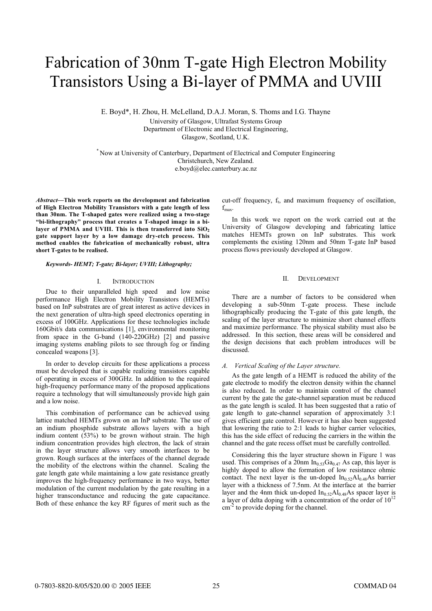# Fabrication of 30nm T-gate High Electron Mobility Transistors Using a Bi-layer of PMMA and UVIII

E. Boyd\*, H. Zhou, H. McLelland, D.A.J. Moran, S. Thoms and I.G. Thayne

University of Glasgow, Ultrafast Systems Group Department of Electronic and Electrical Engineering,

Glasgow, Scotland, U.K.

\* Now at University of Canterbury, Department of Electrical and Computer Engineering Christchurch, New Zealand. e.boyd@elec.canterbury.ac.nz

Abstract—This work reports on the development and fabrication of High Electron Mobility Transistors with a gate length of less than 30nm. The T-shaped gates were realized using a two-stage "bi-lithography" process that creates a T-shaped image in a bilayer of PMMA and UVIII. This is then transferred into  $SiO<sub>2</sub>$ gate support layer by a low damage dry-etch process. This method enables the fabrication of mechanically robust, ultra short T-gates to be realised.

### Keywords- HEMT; T-gate; Bi-layer; UVIII; Lithography;

### I. INTRODUCTION

Due to their unparalleled high speed and low noise performance High Electron Mobility Transistors (HEMTs) based on InP substrates are of great interest as active devices in the next generation of ultra-high speed electronics operating in excess of 100GHz. Applications for these technologies include 160Gbit/s data communications [1], environmental monitoring from space in the G-band (140-220GHz) [2] and passive imaging systems enabling pilots to see through fog or finding concealed weapons [3].

In order to develop circuits for these applications a process must be developed that is capable realizing transistors capable of operating in excess of 300GHz. In addition to the required high-frequency performance many of the proposed applications require a technology that will simultaneously provide high gain and a low noise.

This combination of performance can be achieved using lattice matched HEMTs grown on an InP substrate. The use of an indium phosphide substrate allows layers with a high indium content (53%) to be grown without strain. The high indium concentration provides high electron, the lack of strain in the layer structure allows very smooth interfaces to be grown. Rough surfaces at the interfaces of the channel degrade the mobility of the electrons within the channel. Scaling the gate length gate while maintaining a low gate resistance greatly improves the high-frequency performance in two ways, better modulation of the current modulation by the gate resulting in a higher transconductance and reducing the gate capacitance. Both of these enhance the key RF figures of merit such as the

cut-off frequency,  $f_t$ , and maximum frequency of oscillation,  $f_{\text{max}}$ .

In this work we report on the work carried out at the University of Glasgow developing and fabricating lattice matches HEMTs grown on InP substrates. This work complements the existing 120nm and 50nm T-gate InP based process flows previously developed at Glasgow.

### II. DEVELOPMENT

There are a number of factors to be considered when developing a sub-50nm T-gate process. These include lithographically producing the T-gate of this gate length, the scaling of the layer structure to minimize short channel effects and maximize performance. The physical stability must also be addressed. In this section, these areas will be considered and the design decisions that each problem introduces will be discussed.

As the gate length of a HEMT is reduced the ability of the gate electrode to modify the electron density within the channel is also reduced. In order to maintain control of the channel current by the gate the gate-channel separation must be reduced as the gate length is scaled. It has been suggested that a ratio of gate length to gate-channel separation of approximately 3:1 gives efficient gate control. However it has also been suggested that lowering the ratio to 2:1 leads to higher carrier velocities, this has the side effect of reducing the carriers in the within the channel and the gate recess offset must be carefully controlled.

Considering this the layer structure shown in Figure 1 was used. This comprises of a 20nm  $In<sub>0.53</sub>Ga<sub>0.47</sub>$  As cap, this layer is highly doped to allow the formation of low resistance ohmic contact. The next layer is the un-doped  $In<sub>0.52</sub>Al<sub>0.48</sub>As barrier$ layer with a thickness of 7.5nm. At the interface at the barrier layer and the 4nm thick un-doped  $In<sub>0.52</sub>Al<sub>0.48</sub>As spacer layer is$ a layer of delta doping with a concentration of the order of  $10^{12}$ cm<sup>-2</sup> to provide doping for the channel.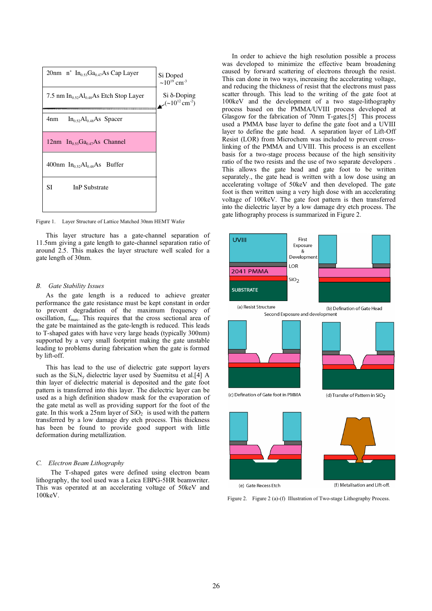

Figure 1. Layer Structure of Lattice Matched 30nm HEMT Wafer

This layer structure has a gate-channel separation of 11.5nm giving a gate length to gate-channel separation ratio of around 2.5. This makes the layer structure well scaled for a gate length of 30nm.

As the gate length is a reduced to achieve greater performance the gate resistance must be kept constant in order to prevent degradation of the maximum frequency of oscillation, f<sub>max</sub>. This requires that the cross sectional area of the gate be maintained as the gate-length is reduced. This leads to T-shaped gates with have very large heads (typically 300nm) supported by a very small footprint making the gate unstable leading to problems during fabrication when the gate is formed by lift-off.

This has lead to the use of dielectric gate support layers such as the  $Si_xN_y$  dielectric layer used by Suemitsu et al.[4] A thin layer of dielectric material is deposited and the gate foot pattern is transferred into this layer. The dielectric layer can be used as a high definition shadow mask for the evaporation of the gate metal as well as providing support for the foot of the gate. In this work a  $25$ nm layer of  $SiO<sub>2</sub>$  is used with the pattern transferred by a low damage dry etch process. This thickness has been be found to provide good support with little deformation during metallization.

The T-shaped gates were defined using electron beam lithography, the tool used was a Leica EBPG-5HR beamwriter. This was operated at an accelerating voltage of 50keV and 100keV.

In order to achieve the high resolution possible a process was developed to minimize the effective beam broadening caused by forward scattering of electrons through the resist. This can done in two ways, increasing the accelerating voltage, and reducing the thickness of resist that the electrons must pass scatter through. This lead to the writing of the gate foot at 100keV and the development of a two stage-lithography process based on the PMMA/UVIII process developed at Glasgow for the fabrication of 70nm T-gates.[5] This process used a PMMA base layer to define the gate foot and a UVIII layer to define the gate head. A separation layer of Lift-Off Resist (LOR) from Microchem was included to prevent crosslinking of the PMMA and UVIII. This process is an excellent basis for a two-stage process because of the high sensitivity ratio of the two resists and the use of two separate developers . This allows the gate head and gate foot to be written separately., the gate head is written with a low dose using an accelerating voltage of 50keV and then developed. The gate foot is then written using a very high dose with an accelerating voltage of 100keV. The gate foot pattern is then transferred into the dielectric layer by a low damage dry etch process. The gate lithography process is summarized in Figure 2.



Second Exposure and development





(c) Defination of Gate foot in PMMA

(d) Transfer of Pattern in SiO<sub>2</sub>





(e) Gate Recess Etch

Figure 2. Figure 2 (a)-(f) Illustration of Two-stage Lithography Process.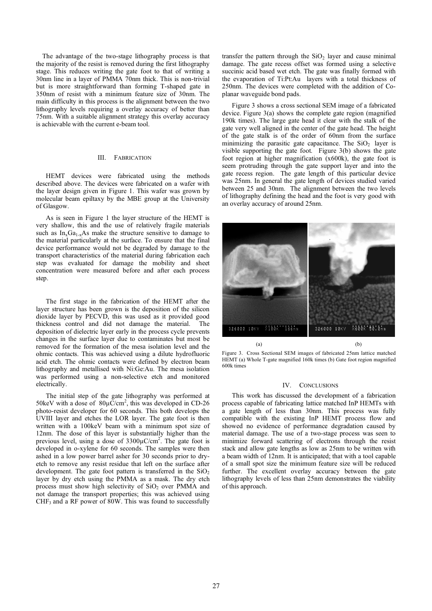The advantage of the two-stage lithography process is that the majority of the resist is removed during the first lithography stage. This reduces writing the gate foot to that of writing a 30nm line in a layer of PMMA 70nm thick. This is non-trivial but is more straightforward than forming T-shaped gate in 350nm of resist with a minimum feature size of 30nm. The main difficulty in this process is the alignment between the two lithography levels requiring a overlay accuracy of better than 75nm. With a suitable alignment strategy this overlay accuracy is achievable with the current e-beam tool.

### III. FABRICATION

HEMT devices were fabricated using the methods described above. The devices were fabricated on a wafer with the layer design given in Figure 1. This wafer was grown by molecular beam epiltaxy by the MBE group at the University of Glasgow.

As is seen in Figure 1 the layer structure of the HEMT is very shallow, this and the use of relatively fragile materials such as  $In_xGa_{1-x}As$  make the structure sensitive to damage to the material particularly at the surface. To ensure that the final device performance would not be degraded by damage to the transport characteristics of the material during fabrication each step was evaluated for damage the mobility and sheet concentration were measured before and after each process step.

The first stage in the fabrication of the HEMT after the layer structure has been grown is the deposition of the silicon dioxide layer by PECVD, this was used as it provided good thickness control and did not damage the material. The deposition of dielectric layer early in the process cycle prevents changes in the surface layer due to contaminates but most be removed for the formation of the mesa isolation level and the ohmic contacts. This was achieved using a dilute hydrofluoric acid etch. The ohmic contacts were defined by electron beam lithography and metallised with Ni:Ge:Au. The mesa isolation was performed using a non-selective etch and monitored electrically.

The initial step of the gate lithography was performed at 50keV with a dose of  $80\mu\text{C/cm}^2$ , this was developed in CD-26 photo-resist developer for 60 seconds. This both develops the UVIII layer and etches the LOR layer. The gate foot is then written with a 100keV beam with a minimum spot size of 12nm. The dose of this layer is substantially higher than the previous level, using a dose of  $3300\mu$ C/cm<sup>2</sup>. The gate foot is developed in o-xylene for 60 seconds. The samples were then ashed in a low power barrel asher for 30 seconds prior to dryetch to remove any resist residue that left on the surface after development. The gate foot pattern is transferred in the  $SiO<sub>2</sub>$ layer by dry etch using the PMMA as a mask. The dry etch process must show high selectivity of  $SiO<sub>2</sub>$  over PMMA and not damage the transport properties; this was achieved using CHF3 and a RF power of 80W. This was found to successfully

transfer the pattern through the  $SiO<sub>2</sub>$  layer and cause minimal damage. The gate recess offset was formed using a selective succinic acid based wet etch. The gate was finally formed with the evaporation of Ti:Pt:Au layers with a total thickness of 250nm. The devices were completed with the addition of Coplanar waveguide bond pads.

Figure 3 shows a cross sectional SEM image of a fabricated device. Figure 3(a) shows the complete gate region (magnified 190k times). The large gate head it clear with the stalk of the gate very well aligned in the center of the gate head. The height of the gate stalk is of the order of 60nm from the surface minimizing the parasitic gate capacitance. The  $SiO<sub>2</sub>$  layer is visible supporting the gate foot. Figure 3(b) shows the gate foot region at higher magnification (x600k), the gate foot is seem protruding through the gate support layer and into the gate recess region. The gate length of this particular device was 25nm. In general the gate length of devices studied varied between 25 and 30nm. The alignment between the two levels of lithography defining the head and the foot is very good with an overlay accuracy of around 25nm.



Figure 3. Cross Sectional SEM images of fabricated 25nm lattice matched HEMT (a) Whole T-gate magnified 160k times (b) Gate foot region magnified 600k times

### IV. CONCLUSIONS

This work has discussed the development of a fabrication process capable of fabricating lattice matched InP HEMTs with a gate length of less than 30nm. This process was fully compatible with the existing InP HEMT process flow and showed no evidence of performance degradation caused by material damage. The use of a two-stage process was seen to minimize forward scattering of electrons through the resist stack and allow gate lengths as low as 25nm to be written with a beam width of 12nm. It is anticipated; that with a tool capable of a small spot size the minimum feature size will be reduced further. The excellent overlay accuracy between the gate lithography levels of less than 25nm demonstrates the viability of this approach.